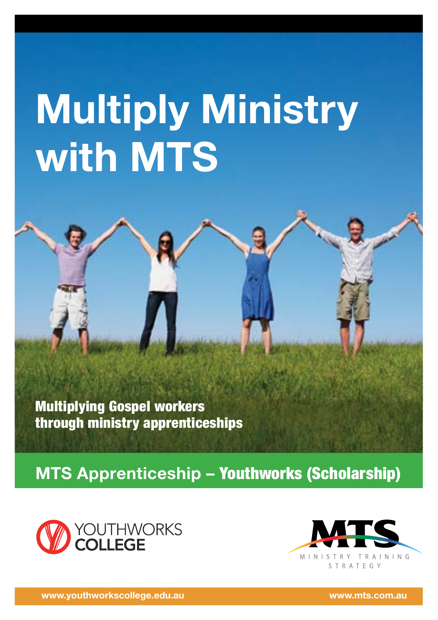# **Multiply Ministry with MTS**

Multiplying Gospel workers through ministry apprenticeships

**MTS Apprenticeship –** Youthworks (Scholarship)



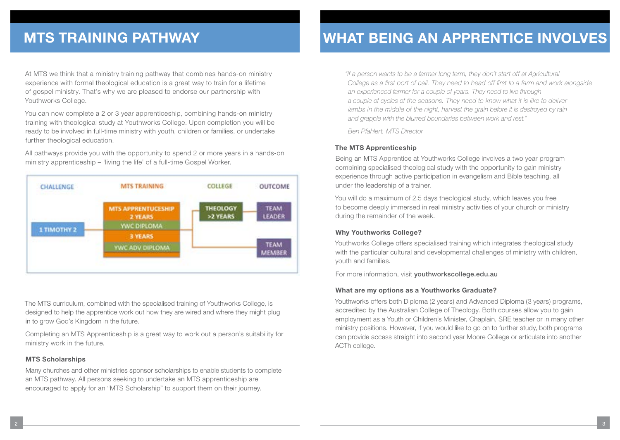At MTS we think that a ministry training pathway that combines hands-on ministry experience with formal theological education is a great way to train for a lifetime of gospel ministry. That's why we are pleased to endorse our partnership with Youthworks College.

You can now complete a 2 or 3 year apprenticeship, combining hands-on ministry training with theological study at Youthworks College. Upon completion you will be ready to be involved in full-time ministry with youth, children or families, or undertake further theological education.

All pathways provide you with the opportunity to spend 2 or more years in a hands-on ministry apprenticeship – 'living the life' of a full-time Gospel Worker.



The MTS curriculum, combined with the specialised training of Youthworks College, is designed to help the apprentice work out how they are wired and where they might plug in to grow God's Kingdom in the future.

Completing an MTS Apprenticeship is a great way to work out a person's suitability for ministry work in the future.

#### **MTS Scholarships**

Many churches and other ministries sponsor scholarships to enable students to complete an MTS pathway. All persons seeking to undertake an MTS apprenticeship are encouraged to apply for an "MTS Scholarship" to support them on their journey.

## **MTS TRAINING PATHWAY WHAT BEING AN APPRENTICE INVOLVES**

*"If a person wants to be a farmer long term, they don't start off at Agricultural College as a first port of call. They need to head off first to a farm and work alongside an experienced farmer for a couple of years. They need to live through a couple of cycles of the seasons. They need to know what it is like to deliver*  lambs in the middle of the night, harvest the grain before it is destroyed by rain *and grapple with the blurred boundaries between work and rest."* 

*Ben Pfahlert, MTS Director*

#### **The MTS Apprenticeship**

Being an MTS Apprentice at Youthworks College involves a two year program combining specialised theological study with the opportunity to gain ministry experience through active participation in evangelism and Bible teaching, all under the leadership of a trainer.

You will do a maximum of 2.5 days theological study, which leaves you free to become deeply immersed in real ministry activities of your church or ministry during the remainder of the week.

#### **Why Youthworks College?**

Youthworks College offers specialised training which integrates theological study with the particular cultural and developmental challenges of ministry with children, youth and families.

For more information, visit vouthworkscollege.edu.au

#### **What are my options as a Youthworks Graduate?**

Youthworks offers both Diploma (2 years) and Advanced Diploma (3 years) programs, accredited by the Australian College of Theology. Both courses allow you to gain employment as a Youth or Children's Minister, Chaplain, SRE teacher or in many other ministry positions. However, if you would like to go on to further study, both programs can provide access straight into second year Moore College or articulate into another ACTh college.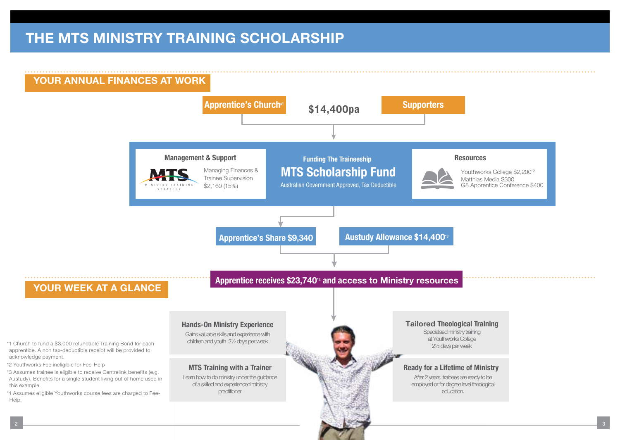### **THE MTS MINISTRY TRAINING SCHOLARSHIP**

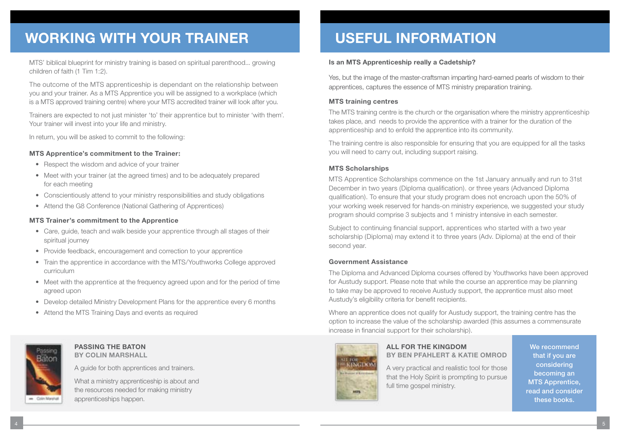## **WORKING WITH YOUR TRAINER**

MTS' biblical blueprint for ministry training is based on spiritual parenthood... growing children of faith (1 Tim 1:2).

The outcome of the MTS apprenticeship is dependant on the relationship between you and your trainer. As a MTS Apprentice you will be assigned to a workplace (which is a MTS approved training centre) where your MTS accredited trainer will look after you.

Trainers are expected to not just minister 'to' their apprentice but to minister 'with them'. Your trainer will invest into your life and ministry.

In return, you will be asked to commit to the following:

#### **MTS Apprentice's commitment to the Trainer:**

- Respect the wisdom and advice of your trainer
- Meet with your trainer (at the agreed times) and to be adequately prepared for each meeting
- Conscientiously attend to your ministry responsibilities and study obligations
- Attend the G8 Conference (National Gathering of Apprentices)

#### **MTS Trainer's commitment to the Apprentice**

- Care, guide, teach and walk beside your apprentice through all stages of their spiritual journey
- Provide feedback, encouragement and correction to your apprentice
- Train the apprentice in accordance with the MTS/Youthworks College approved curriculum
- Meet with the apprentice at the frequency agreed upon and for the period of time agreed upon
- Develop detailed Ministry Development Plans for the apprentice every 6 months
- Attend the MTS Training Days and events as required



#### **PASSING THE BATON BY COLIN MARSHALL**

A guide for both apprentices and trainers.

What a ministry apprenticeship is about and the resources needed for making ministry apprenticeships happen.

## **USEFUL INFORMATION**

#### **Is an MTS Apprenticeship really a Cadetship?**

Yes, but the image of the master-craftsman imparting hard-earned pearls of wisdom to their apprentices, captures the essence of MTS ministry preparation training.

#### **MTS training centres**

The MTS training centre is the church or the organisation where the ministry apprenticeship takes place, and needs to provide the apprentice with a trainer for the duration of the apprenticeship and to enfold the apprentice into its community.

The training centre is also responsible for ensuring that you are equipped for all the tasks you will need to carry out, including support raising.

#### **MTS Scholarships**

MTS Apprentice Scholarships commence on the 1st January annually and run to 31st December in two years (Diploma qualification). or three years (Advanced Diploma qualification). To ensure that your study program does not encroach upon the 50% of your working week reserved for hands-on ministry experience, we suggested your study program should comprise 3 subjects and 1 ministry intensive in each semester.

Subject to continuing financial support, apprentices who started with a two year scholarship (Diploma) may extend it to three years (Adv. Diploma) at the end of their second year.

#### **Government Assistance**

The Diploma and Advanced Diploma courses offered by Youthworks have been approved for Austudy support. Please note that while the course an apprentice may be planning to take may be approved to receive Austudy support, the apprentice must also meet Austudy's eligibility criteria for benefit recipients.

Where an apprentice does not qualify for Austudy support, the training centre has the option to increase the value of the scholarship awarded (this assumes a commensurate increase in financial support for their scholarship).



### **ALL FOR THE KINGDOM BY BEN PFAHLERT & KATIE OMROD**

A very practical and realistic tool for those that the Holy Spirit is prompting to pursue full time gospel ministry.

We recommend that if you are considering becoming an MTS Apprentice, read and consider these books.